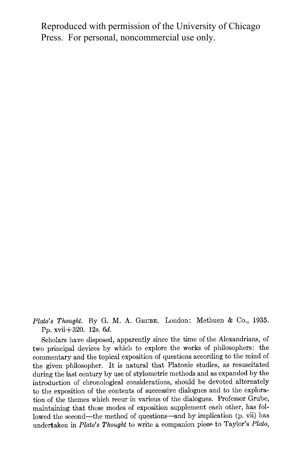Reproduced with permission of the University of Chicago Press. For personal, noncommercial use only.

Plato's Thought. By G. M. A. GRUBE. London: Methuen & Co., 1935. **Pp. xvii+320. 12s. 6d.** 

**Scholars have disposed, apparently since the time of the Alexandrians, of two principal devices by which to explore the works of philosophers: the commentary and the topical exposition of questions according to the mind of the given philosopher. It is natural that Platonic studies, as resuscitated during the last century by use of stylometric methods and as expanded by the introduction of chronological considerations, should be devoted alternately to the exposition of the contents of successive dialogues and to the exploration of the themes which recur in various of the dialogues. Professor Grube, maintaining that these modes of exposition supplement each other, has followed the second-the method of questions-and by implication (p. vii) has**  undertaken in Plato's Thought to write a companion piece to Taylor's Plato,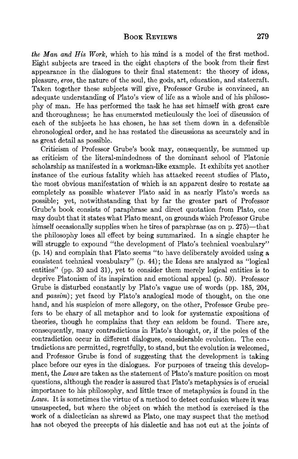**the Man and His Work, which to his mind is a model of the first method. Eight subjects are traced in the eight chapters of the book from their first appearance in the dialogues to their final statement: the theory of ideas, pleasure, eros, the nature of the soul, the gods, art, education, and statecraft. Taken together these subjects will give, Professor Grube is convinced, an adequate understanding of Plato's view of life as a whole and of his philosophy of man. He has performed the task he has set himself with great care and thoroughness; he has enumerated meticulously the loci of discussion of each of the subjects he has chosen, he has set them down in a defensible chronological order, and he has restated the discussions as accurately and in as great detail as possible.** 

**Criticism of Professor Grube's book may, consequently, be summed up as criticism of the literal-mindedness of the dominant school of Platonic**  scholarship as manifested in a workman-like example. It exhibits yet another **instance of the curious fatality which has attacked recent studies of Plato, the most obvious manifestation of which is an apparent desire to restate as completely as possible whatever Plato said in as nearly Plato's words as possible; yet, notwithstanding that by far the greater part of Professor Grube's book consists of paraphrase and direct quotation from Plato, one may doubt that it states what Plato meant, on grounds which Professor Grube**  himself occasionally supplies when he tires of paraphrase (as on p. 275)—that **the philosophy loses all effect by being summarized. In a single chapter he will struggle to expound "the development of Plato's technical vocabulary" (p. 14) and complain that Plato seems "to have deliberately avoided using a consistent technical vocabulary" (p. 44); the Ideas are analyzed as "logical entities" (pp. 30 and 31), yet to consider them merely logical entities is to deprive Platonism of its inspiration and emotional appeal (p. 50). Professor Grube is disturbed constantly by Plato's vague use of words (pp. 185, 204, and passim); yet faced by Plato's analogical mode of thought, on the one hand, and his suspicion of mere allegory, on the other, Professor Grube prefers to be chary of all metaphor and to look for systematic expositions of theories, though he complains that they can seldom be found. There are, consequently, many contradictions in Plato's thought, or, if the poles of the contradiction occur in different dialogues, considerable evolution. The contradictions are permitted, regretfully, to stand, but the evolution is welcomed, and Professor Grube is fond of suggesting that the development is taking place before our eyes in the dialogues. For purposes of tracing this development, the Laws are taken as the statement of Plato's mature position on most questions, although the reader is assured that Plato's metaphysics is of crucial importance to his philosophy, and little trace of metaphysics is found in the Laws. It is sometimes the virtue of a method to detect confusion where it was unsuspected, but where the object on which the method is exercised is the work of a dialectician as shrewd as Plato, one may suspect that the method has not obeyed the precepts of his dialectic and has not cut at the joints of**